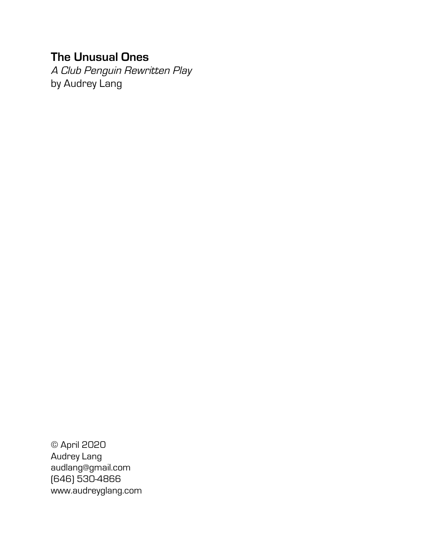# **The Unusual Ones**

A Club Penguin Rewritten Play by Audrey Lang

© April 2020 Audrey Lang audlang@gmail.com (646) 530-4866 www.audreyglang.com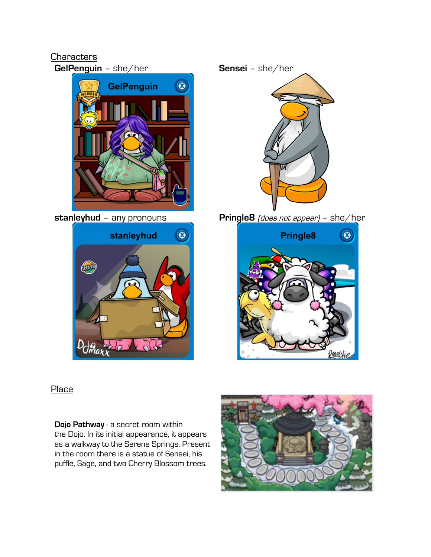## **Characters**

**GelPenguin** – she/her **Sensei** – she/her





**stanleyhud** – any pronouns **Pringle8** (does not appear) – she/her



**Place** 

**Dojo Pathway** - a secret room within the Dojo. In its initial appearance, it appears as a walkway to the Serene Springs. Present in the room there is a statue of Sensei, his puffle, Sage, and two Cherry Blossom trees.

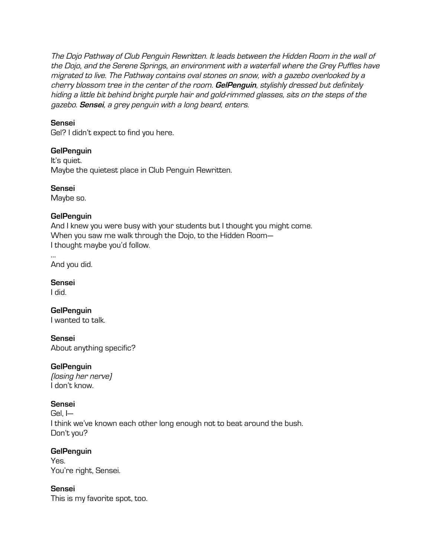The Dojo Pathway of Club Penguin Rewritten. It leads between the Hidden Room in the wall of the Dojo, and the Serene Springs, an environment with a waterfall where the Grey Puffles have migrated to live. The Pathway contains oval stones on snow, with a gazebo overlooked by a cherry blossom tree in the center of the room. **GelPenguin**, stylishly dressed but definitely hiding a little bit behind bright purple hair and gold-rimmed glasses, sits on the steps of the gazebo. **Sensei**, a grey penguin with a long beard, enters.

#### **Sensei**

Gel? I didn't expect to find you here.

## **GelPenguin**

It's quiet. Maybe the quietest place in Club Penguin Rewritten.

**Sensei**

Maybe so.

## **GelPenguin**

And I knew you were busy with your students but I thought you might come. When you saw me walk through the Dojo, to the Hidden Room— I thought maybe you'd follow.

… And you did.

**Sensei**

I did.

**GelPenguin** I wanted to talk.

**Sensei**

About anything specific?

## **GelPenguin**

(losing her nerve) I don't know.

## **Sensei**

Gel, I— I think we've known each other long enough not to beat around the bush. Don't you?

## **GelPenguin**

Yes. You're right, Sensei.

## **Sensei**

This is my favorite spot, too.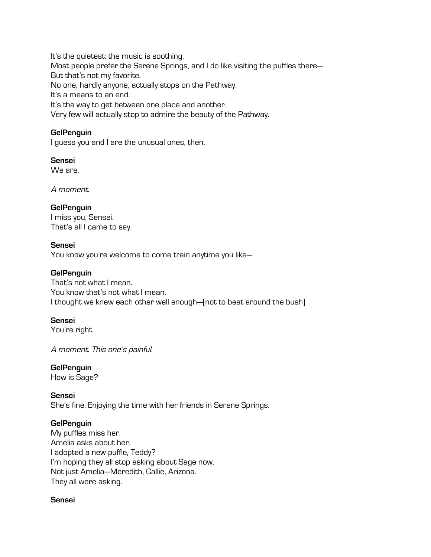It's the quietest; the music is soothing. Most people prefer the Serene Springs, and I do like visiting the puffles there— But that's not my favorite. No one, hardly anyone, actually stops on the Pathway. It's a means to an end. It's the way to get between one place and another. Very few will actually stop to admire the beauty of the Pathway.

#### **GelPenguin**

I guess you and I are the unusual ones, then.

**Sensei** We are.

A moment.

#### **GelPenguin**

I miss you, Sensei. That's all I came to say.

#### **Sensei**

You know you're welcome to come train anytime you like—

#### **GelPenguin**

That's not what I mean. You know that's not what I mean. I thought we knew each other well enough—[not to beat around the bush]

#### **Sensei**

You're right.

A moment. This one's painful.

#### **GelPenguin**

How is Sage?

#### **Sensei**

She's fine. Enjoying the time with her friends in Serene Springs.

#### **GelPenguin**

My puffles miss her. Amelia asks about her. I adopted a new puffle, Teddy? I'm hoping they all stop asking about Sage now. Not just Amelia—Meredith, Callie, Arizona. They all were asking.

#### **Sensei**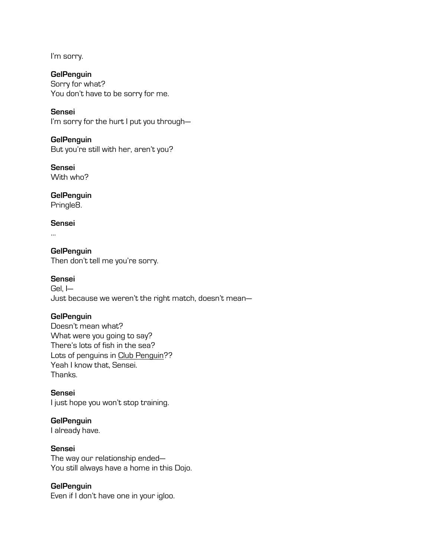I'm sorry.

**GelPenguin** Sorry for what? You don't have to be sorry for me.

**Sensei** I'm sorry for the hurt I put you through—

**GelPenguin** But you're still with her, aren't you?

**Sensei** With who?

**GelPenguin** Pringle8.

**Sensei**

…

**GelPenguin** Then don't tell me you're sorry.

#### **Sensei**

Gel, I— Just because we weren't the right match, doesn't mean—

## **GelPenguin**

Doesn't mean what? What were you going to say? There's lots of fish in the sea? Lots of penguins in Club Penguin?? Yeah I know that, Sensei. Thanks.

## **Sensei**

I just hope you won't stop training.

## **GelPenguin**

I already have.

## **Sensei**

The way our relationship ended— You still always have a home in this Dojo.

## **GelPenguin**

Even if I don't have one in your igloo.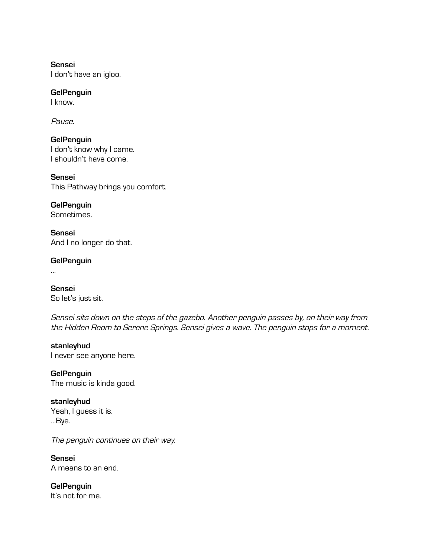**Sensei** I don't have an igloo.

**GelPenguin**

I know.

Pause.

**GelPenguin** I don't know why I came. I shouldn't have come.

**Sensei** This Pathway brings you comfort.

**GelPenguin** Sometimes. **Sensei**

And I no longer do that.

**GelPenguin**

…

**Sensei** So let's just sit.

Sensei sits down on the steps of the gazebo. Another penguin passes by, on their way from the Hidden Room to Serene Springs. Sensei gives a wave. The penguin stops for a moment.

**stanleyhud** I never see anyone here.

**GelPenguin** The music is kinda good.

**stanleyhud** Yeah, I guess it is. …Bye.

The penguin continues on their way.

**Sensei** A means to an end.

**GelPenguin** It's not for me.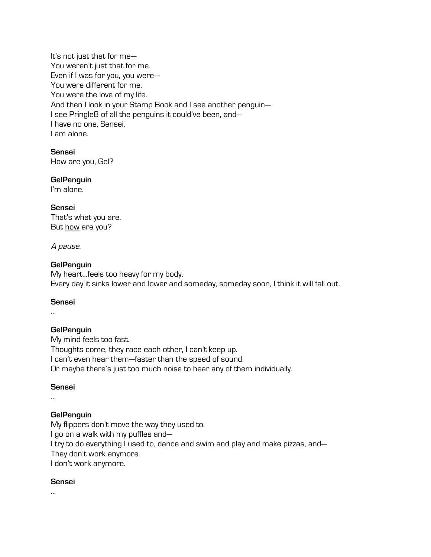It's not just that for me— You weren't just that for me. Even if I was for you, you were— You were different for me. You were the love of my life. And then I look in your Stamp Book and I see another penguin— I see Pringle8 of all the penguins it could've been, and— I have no one, Sensei. I am alone.

**Sensei** How are you, Gel?

**GelPenguin**

I'm alone.

#### **Sensei**

That's what you are. But how are you?

#### A pause.

#### **GelPenguin**

My heart…feels too heavy for my body. Every day it sinks lower and lower and someday, someday soon, I think it will fall out.

#### **Sensei**

…

## **GelPenguin**

My mind feels too fast. Thoughts come, they race each other, I can't keep up. I can't even hear them—faster than the speed of sound. Or maybe there's just too much noise to hear any of them individually.

#### **Sensei**

…

## **GelPenguin**

My flippers don't move the way they used to.

I go on a walk with my puffles and—

I try to do everything I used to, dance and swim and play and make pizzas, and—

They don't work anymore.

I don't work anymore.

## **Sensei**

…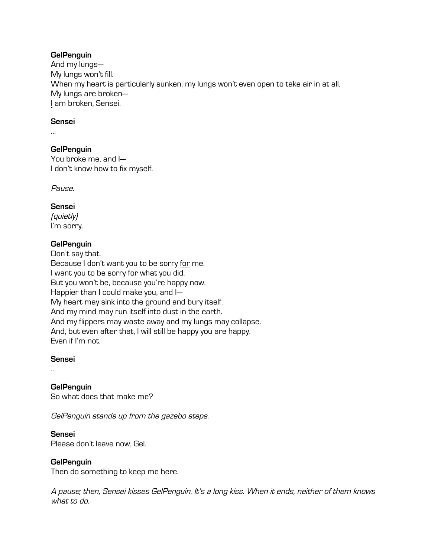#### **GelPenguin**

And my lungs— My lungs won't fill. When my heart is particularly sunken, my lungs won't even open to take air in at all. My lungs are broken— I am broken, Sensei.

#### **Sensei**

…

#### **GelPenguin**

You broke me, and I— I don't know how to fix myself.

Pause.

#### **Sensei**

(quietly) I'm sorry.

#### **GelPenguin**

Don't say that. Because I don't want you to be sorry for me. I want you to be sorry for what you did. But you won't be, because you're happy now. Happier than I could make you, and I— My heart may sink into the ground and bury itself. And my mind may run itself into dust in the earth. And my flippers may waste away and my lungs may collapse. And, but even after that, I will still be happy you are happy. Even if I'm not.

#### **Sensei**

…

**GelPenguin** So what does that make me?

GelPenguin stands up from the gazebo steps.

## **Sensei**

Please don't leave now, Gel.

## **GelPenguin**

Then do something to keep me here.

A pause; then, Sensei kisses GelPenguin. It's a long kiss. When it ends, neither of them knows what to do.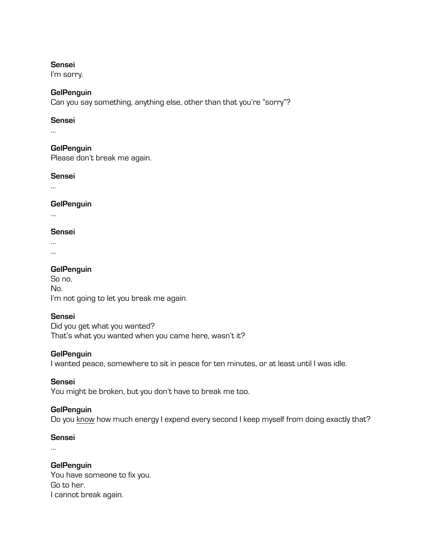#### **Sensei**

I'm sorry.

#### **GelPenguin**

Can you say something, anything else, other than that you're "sorry"?

#### **Sensei**

…

#### **GelPenguin**

Please don't break me again.

#### **Sensei**

…

#### **GelPenguin**

…

#### **Sensei**

…

…

## **GelPenguin**

So no. No. I'm not going to let you break me again.

#### **Sensei**

Did you get what you wanted? That's what you wanted when you came here, wasn't it?

#### **GelPenguin**

I wanted peace, somewhere to sit in peace for ten minutes, or at least until I was idle.

#### **Sensei**

You might be broken, but you don't have to break me too.

#### **GelPenguin**

Do you know how much energy I expend every second I keep myself from doing exactly that?

#### **Sensei**

…

#### **GelPenguin**

You have someone to fix you. Go to her. I cannot break again.